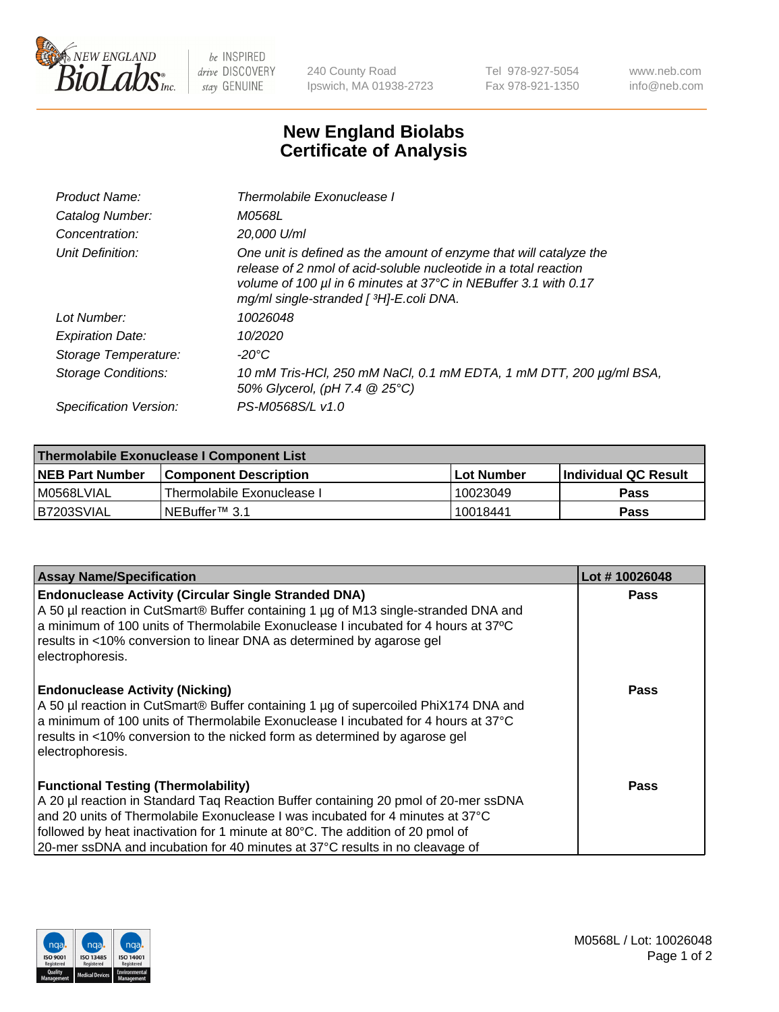

 $be$  INSPIRED drive DISCOVERY stay GENUINE

240 County Road Ipswich, MA 01938-2723 Tel 978-927-5054 Fax 978-921-1350 www.neb.com info@neb.com

## **New England Biolabs Certificate of Analysis**

| Product Name:              | Thermolabile Exonuclease I                                                                                                                                                                                                                           |
|----------------------------|------------------------------------------------------------------------------------------------------------------------------------------------------------------------------------------------------------------------------------------------------|
| Catalog Number:            | <i>M0568L</i>                                                                                                                                                                                                                                        |
| Concentration:             | 20.000 U/ml                                                                                                                                                                                                                                          |
| Unit Definition:           | One unit is defined as the amount of enzyme that will catalyze the<br>release of 2 nmol of acid-soluble nucleotide in a total reaction<br>volume of 100 µl in 6 minutes at 37°C in NEBuffer 3.1 with 0.17<br>mg/ml single-stranded [ 3H]-E.coli DNA. |
| Lot Number:                | 10026048                                                                                                                                                                                                                                             |
| <b>Expiration Date:</b>    | 10/2020                                                                                                                                                                                                                                              |
| Storage Temperature:       | $-20^{\circ}$ C                                                                                                                                                                                                                                      |
| <b>Storage Conditions:</b> | 10 mM Tris-HCl, 250 mM NaCl, 0.1 mM EDTA, 1 mM DTT, 200 µg/ml BSA,<br>50% Glycerol, (pH 7.4 @ 25°C)                                                                                                                                                  |
| Specification Version:     | PS-M0568S/L v1.0                                                                                                                                                                                                                                     |

| Thermolabile Exonuclease I Component List |                              |            |                       |  |  |
|-------------------------------------------|------------------------------|------------|-----------------------|--|--|
| <b>NEB Part Number</b>                    | <b>Component Description</b> | Lot Number | ∣Individual QC Result |  |  |
| I M0568LVIAL                              | Thermolabile Exonuclease I   | 10023049   | <b>Pass</b>           |  |  |
| B7203SVIAL                                | INEBuffer™ 3.1               | 10018441   | Pass                  |  |  |

| <b>Assay Name/Specification</b>                                                                                                                                                                                                                                                                                                                                                       | Lot #10026048 |
|---------------------------------------------------------------------------------------------------------------------------------------------------------------------------------------------------------------------------------------------------------------------------------------------------------------------------------------------------------------------------------------|---------------|
| <b>Endonuclease Activity (Circular Single Stranded DNA)</b><br>A 50 µl reaction in CutSmart® Buffer containing 1 µg of M13 single-stranded DNA and<br>a minimum of 100 units of Thermolabile Exonuclease I incubated for 4 hours at 37°C<br>results in <10% conversion to linear DNA as determined by agarose gel<br>electrophoresis.                                                 | <b>Pass</b>   |
| <b>Endonuclease Activity (Nicking)</b><br>A 50 µl reaction in CutSmart® Buffer containing 1 µg of supercoiled PhiX174 DNA and<br>a minimum of 100 units of Thermolabile Exonuclease I incubated for 4 hours at 37°C<br>results in <10% conversion to the nicked form as determined by agarose gel<br>electrophoresis.                                                                 | Pass          |
| <b>Functional Testing (Thermolability)</b><br>A 20 µl reaction in Standard Taq Reaction Buffer containing 20 pmol of 20-mer ssDNA<br>and 20 units of Thermolabile Exonuclease I was incubated for 4 minutes at 37°C<br>followed by heat inactivation for 1 minute at 80°C. The addition of 20 pmol of<br>20-mer ssDNA and incubation for 40 minutes at 37°C results in no cleavage of | Pass          |